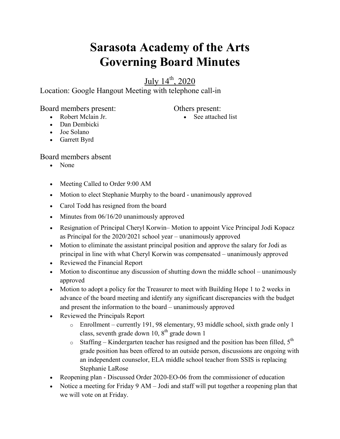## **Sarasota Academy of the Arts Governing Board Minutes**

July 14th, 2020

Location: Google Hangout Meeting with telephone call-in

Board members present:

Others present:

- Robert Mclain Jr.
- Dan Dembicki
- Joe Solano
- Garrett Byrd

Board members absent

- None
- Meeting Called to Order 9:00 AM
- Motion to elect Stephanie Murphy to the board unanimously approved
- Carol Todd has resigned from the board
- $\bullet$  Minutes from 06/16/20 unanimously approved
- Resignation of Principal Cheryl Korwin– Motion to appoint Vice Principal Jodi Kopacz as Principal for the 2020/2021 school year – unanimously approved
- Motion to eliminate the assistant principal position and approve the salary for Jodi as principal in line with what Cheryl Korwin was compensated – unanimously approved
- Reviewed the Financial Report
- Motion to discontinue any discussion of shutting down the middle school unanimously approved
- Motion to adopt a policy for the Treasurer to meet with Building Hope 1 to 2 weeks in advance of the board meeting and identify any significant discrepancies with the budget and present the information to the board – unanimously approved
- Reviewed the Principals Report
	- o Enrollment currently 191, 98 elementary, 93 middle school, sixth grade only 1 class, seventh grade down 10,  $8<sup>th</sup>$  grade down 1
	- $\circ$  Staffing Kindergarten teacher has resigned and the position has been filled,  $5<sup>th</sup>$ grade position has been offered to an outside person, discussions are ongoing with an independent counselor, ELA middle school teacher from SSIS is replacing Stephanie LaRose
- Reopening plan Discussed Order 2020-EO-06 from the commissioner of education
- Notice a meeting for Friday 9 AM Jodi and staff will put together a reopening plan that we will vote on at Friday.

• See attached list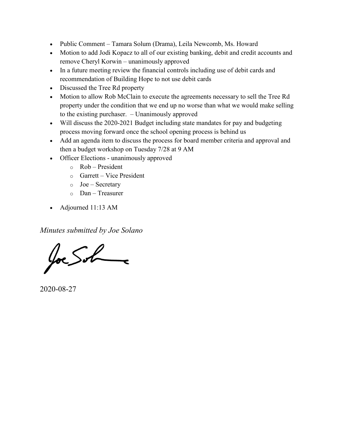- Public Comment Tamara Solum (Drama), Leila Newcomb, Ms. Howard
- Motion to add Jodi Kopacz to all of our existing banking, debit and credit accounts and remove Cheryl Korwin – unanimously approved
- In a future meeting review the financial controls including use of debit cards and recommendation of Building Hope to not use debit cards
- Discussed the Tree Rd property
- Motion to allow Rob McClain to execute the agreements necessary to sell the Tree Rd property under the condition that we end up no worse than what we would make selling to the existing purchaser. – Unanimously approved
- Will discuss the 2020-2021 Budget including state mandates for pay and budgeting process moving forward once the school opening process is behind us
- Add an agenda item to discuss the process for board member criteria and approval and then a budget workshop on Tuesday 7/28 at 9 AM
- Officer Elections unanimously approved
	- o Rob President
	- o Garrett Vice President
	- $\circ$  Joe Secretary
	- o Dan Treasurer
- Adjourned 11:13 AM

*Minutes submitted by Joe Solano*

Joe Sohne

2020-08-27